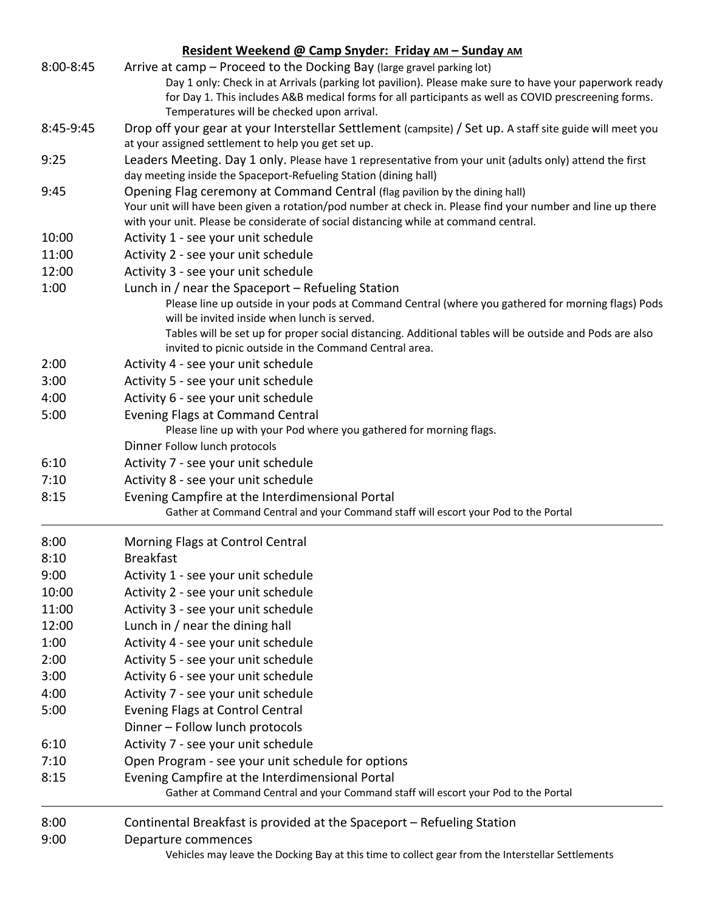|           | Resident Weekend @ Camp Snyder: Friday AM - Sunday AM                                                                                                                                                                                                                                                                                  |
|-----------|----------------------------------------------------------------------------------------------------------------------------------------------------------------------------------------------------------------------------------------------------------------------------------------------------------------------------------------|
| 8:00-8:45 | Arrive at camp - Proceed to the Docking Bay (large gravel parking lot)<br>Day 1 only: Check in at Arrivals (parking lot pavilion). Please make sure to have your paperwork ready<br>for Day 1. This includes A&B medical forms for all participants as well as COVID prescreening forms.<br>Temperatures will be checked upon arrival. |
| 8:45-9:45 | Drop off your gear at your Interstellar Settlement (campsite) / Set up. A staff site guide will meet you<br>at your assigned settlement to help you get set up.                                                                                                                                                                        |
| 9:25      | Leaders Meeting. Day 1 only. Please have 1 representative from your unit (adults only) attend the first<br>day meeting inside the Spaceport-Refueling Station (dining hall)                                                                                                                                                            |
| 9:45      | Opening Flag ceremony at Command Central (flag pavilion by the dining hall)<br>Your unit will have been given a rotation/pod number at check in. Please find your number and line up there<br>with your unit. Please be considerate of social distancing while at command central.                                                     |
| 10:00     | Activity 1 - see your unit schedule                                                                                                                                                                                                                                                                                                    |
| 11:00     | Activity 2 - see your unit schedule                                                                                                                                                                                                                                                                                                    |
| 12:00     | Activity 3 - see your unit schedule                                                                                                                                                                                                                                                                                                    |
| 1:00      | Lunch in $/$ near the Spaceport $-$ Refueling Station                                                                                                                                                                                                                                                                                  |
|           | Please line up outside in your pods at Command Central (where you gathered for morning flags) Pods<br>will be invited inside when lunch is served.<br>Tables will be set up for proper social distancing. Additional tables will be outside and Pods are also<br>invited to picnic outside in the Command Central area.                |
| 2:00      | Activity 4 - see your unit schedule                                                                                                                                                                                                                                                                                                    |
| 3:00      | Activity 5 - see your unit schedule                                                                                                                                                                                                                                                                                                    |
| 4:00      | Activity 6 - see your unit schedule                                                                                                                                                                                                                                                                                                    |
| 5:00      | <b>Evening Flags at Command Central</b><br>Please line up with your Pod where you gathered for morning flags.                                                                                                                                                                                                                          |
|           | Dinner Follow lunch protocols                                                                                                                                                                                                                                                                                                          |
| 6:10      | Activity 7 - see your unit schedule                                                                                                                                                                                                                                                                                                    |
| 7:10      | Activity 8 - see your unit schedule                                                                                                                                                                                                                                                                                                    |
| 8:15      | Evening Campfire at the Interdimensional Portal                                                                                                                                                                                                                                                                                        |
|           | Gather at Command Central and your Command staff will escort your Pod to the Portal                                                                                                                                                                                                                                                    |
| 8:00      | Morning Flags at Control Central                                                                                                                                                                                                                                                                                                       |
| 8:10      | <b>Breakfast</b>                                                                                                                                                                                                                                                                                                                       |
| 9:00      | Activity 1 - see your unit schedule                                                                                                                                                                                                                                                                                                    |
| 10:00     | Activity 2 - see your unit schedule                                                                                                                                                                                                                                                                                                    |
| 11:00     | Activity 3 - see your unit schedule                                                                                                                                                                                                                                                                                                    |
| 12:00     | Lunch in / near the dining hall                                                                                                                                                                                                                                                                                                        |
| 1:00      | Activity 4 - see your unit schedule                                                                                                                                                                                                                                                                                                    |
| 2:00      | Activity 5 - see your unit schedule                                                                                                                                                                                                                                                                                                    |
| 3:00      | Activity 6 - see your unit schedule                                                                                                                                                                                                                                                                                                    |
| 4:00      | Activity 7 - see your unit schedule                                                                                                                                                                                                                                                                                                    |
| 5:00      | <b>Evening Flags at Control Central</b>                                                                                                                                                                                                                                                                                                |
|           | Dinner - Follow lunch protocols                                                                                                                                                                                                                                                                                                        |
| 6:10      | Activity 7 - see your unit schedule                                                                                                                                                                                                                                                                                                    |
| 7:10      | Open Program - see your unit schedule for options                                                                                                                                                                                                                                                                                      |
| 8:15      | Evening Campfire at the Interdimensional Portal<br>Gather at Command Central and your Command staff will escort your Pod to the Portal                                                                                                                                                                                                 |
| 8:00      | Continental Breakfast is provided at the Spaceport – Refueling Station                                                                                                                                                                                                                                                                 |
| 9:00      | Departure commences<br>Vehicles may leave the Docking Bay at this time to collect gear from the Interstellar Settlements                                                                                                                                                                                                               |